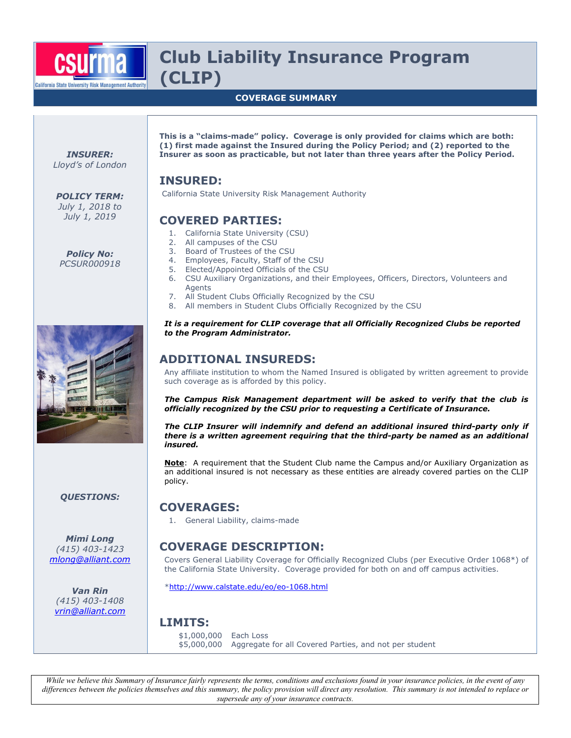

# **Club Liability Insurance Program (CLIP)**

#### **COVERAGE SUMMARY**

*INSURER: Lloyd's of London* 

*POLICY TERM: July 1, 2018 to July 1, 2019* 

*Policy No: PCSUR000918* 



**This is a "claims-made" policy. Coverage is only provided for claims which are both: (1) first made against the Insured during the Policy Period; and (2) reported to the Insurer as soon as practicable, but not later than three years after the Policy Period.**

## **INSURED:**

California State University Risk Management Authority

## **COVERED PARTIES:**

- 1. California State University (CSU)
- 2. All campuses of the CSU
- 3. Board of Trustees of the CSU
- 4. Employees, Faculty, Staff of the CSU<br>5. Elected/Appointed Officials of the CSI
- 5. Elected/Appointed Officials of the CSU
- 6. CSU Auxiliary Organizations, and their Employees, Officers, Directors, Volunteers and Agents
- 7. All Student Clubs Officially Recognized by the CSU
- 8. All members in Student Clubs Officially Recognized by the CSU

#### *It is a requirement for CLIP coverage that all Officially Recognized Clubs be reported to the Program Administrator.*

## **ADDITIONAL INSUREDS:**

Any affiliate institution to whom the Named Insured is obligated by written agreement to provide such coverage as is afforded by this policy.

*The Campus Risk Management department will be asked to verify that the club is officially recognized by the CSU prior to requesting a Certificate of Insurance.* 

*The CLIP Insurer will indemnify and defend an additional insured third-party only if there is a written agreement requiring that the third-party be named as an additional insured.* 

**Note**: A requirement that the Student Club name the Campus and/or Auxiliary Organization as an additional insured is not necessary as these entities are already covered parties on the CLIP policy.

## **COVERAGES:**

1. General Liability, claims-made

## **COVERAGE DESCRIPTION:**

Covers General Liability Coverage for Officially Recognized Clubs (per Executive Order 1068\*) of the California State University. Coverage provided for both on and off campus activities.

\*http://www.calstate.edu/eo/eo-1068.html

#### **LIMITS:**

\$1,000,000 Each Loss \$5,000,000 Aggregate for all Covered Parties, and not per student

*While we believe this Summary of Insurance fairly represents the terms, conditions and exclusions found in your insurance policies, in the event of any differences between the policies themselves and this summary, the policy provision will direct any resolution. This summary is not intended to replace or supersede any of your insurance contracts.* 

*QUESTIONS:* 

*Mimi Long (415) 403-1423 mlong@alliant.com*

*Van Rin (415) 403-1408 vrin@alliant.com*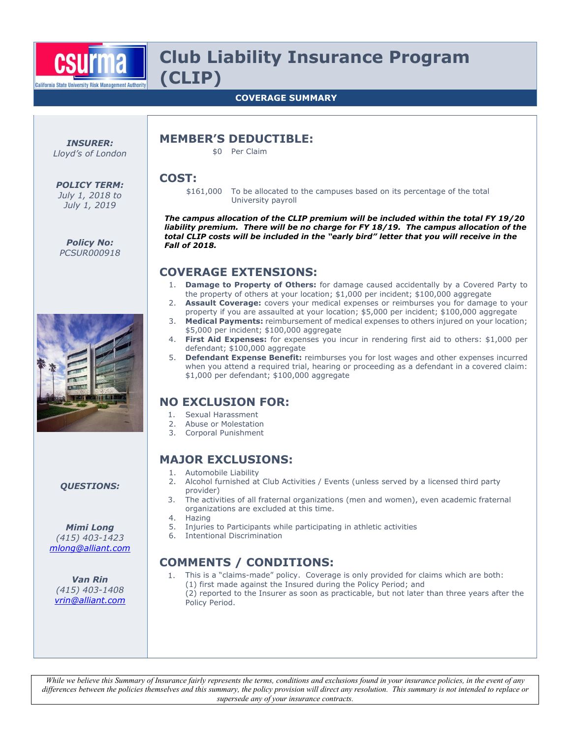

# **Club Liability Insurance Program (CLIP)**

#### **COVERAGE SUMMARY**

*INSURER: Lloyd's of London*  **MEMBER'S DEDUCTIBLE:** 

\$0 Per Claim

### **COST:**

*POLICY TERM: July 1, 2018 to July 1, 2019* 

*Policy No: PCSUR000918*  \$161,000 To be allocated to the campuses based on its percentage of the total University payroll

*The campus allocation of the CLIP premium will be included within the total FY 19/20 liability premium. There will be no charge for FY 18/19. The campus allocation of the total CLIP costs will be included in the "early bird" letter that you will receive in the Fall of 2018.* 

## **COVERAGE EXTENSIONS:**

- 1. **Damage to Property of Others:** for damage caused accidentally by a Covered Party to the property of others at your location; \$1,000 per incident; \$100,000 aggregate
- 2. **Assault Coverage:** covers your medical expenses or reimburses you for damage to your property if you are assaulted at your location; \$5,000 per incident; \$100,000 aggregate
- 3. **Medical Payments:** reimbursement of medical expenses to others injured on your location; \$5,000 per incident; \$100,000 aggregate
- 4. **First Aid Expenses:** for expenses you incur in rendering first aid to others: \$1,000 per defendant; \$100,000 aggregate
- 5. **Defendant Expense Benefit:** reimburses you for lost wages and other expenses incurred when you attend a required trial, hearing or proceeding as a defendant in a covered claim: \$1,000 per defendant; \$100,000 aggregate

## **NO EXCLUSION FOR:**

- 1. Sexual Harassment
- 2. Abuse or Molestation
- 3. Corporal Punishment

## **MAJOR EXCLUSIONS:**

- 1. Automobile Liability
- 2. Alcohol furnished at Club Activities / Events (unless served by a licensed third party provider)
- 3. The activities of all fraternal organizations (men and women), even academic fraternal organizations are excluded at this time.
- 4. Hazing
- 5. Injuries to Participants while participating in athletic activities
- 6. Intentional Discrimination

## **COMMENTS / CONDITIONS:**

- 1. This is a "claims-made" policy. Coverage is only provided for claims which are both: (1) first made against the Insured during the Policy Period; and
	- (2) reported to the Insurer as soon as practicable, but not later than three years after the Policy Period.

*While we believe this Summary of Insurance fairly represents the terms, conditions and exclusions found in your insurance policies, in the event of any differences between the policies themselves and this summary, the policy provision will direct any resolution. This summary is not intended to replace or supersede any of your insurance contracts.* 

*QUESTIONS:* 

*Mimi Long (415) 403-1423 mlong@alliant.com*

*Van Rin (415) 403-1408 vrin@alliant.com*